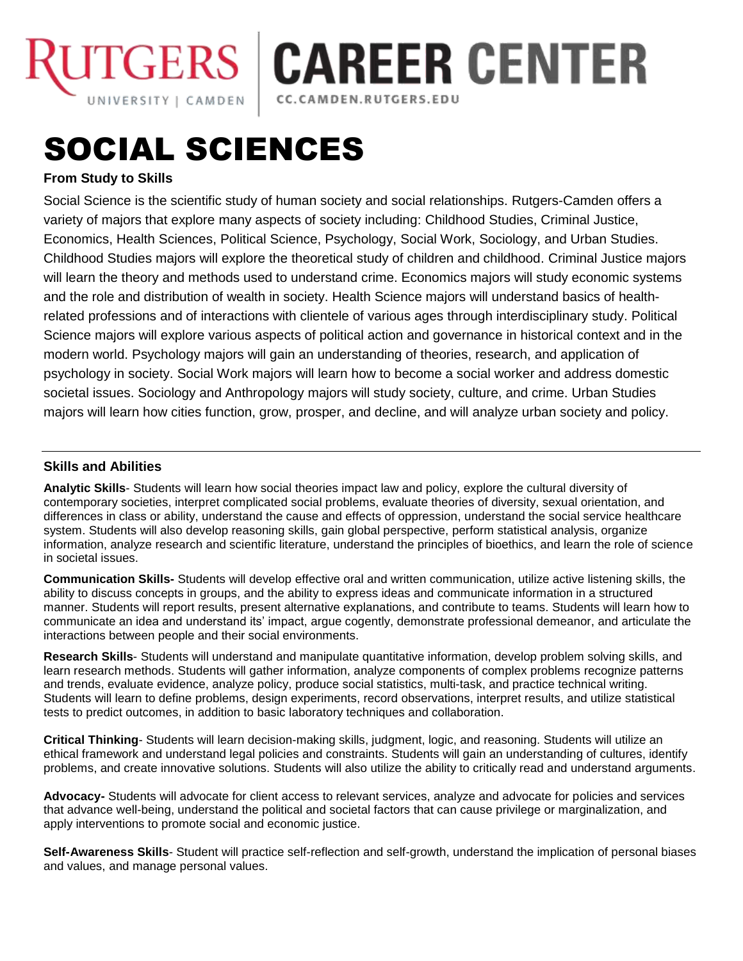

**CAREER CENTER** 

CC.CAMDEN.RUTGERS.EDU

# SOCIAL SCIENCES

## **From Study to Skills**

Social Science is the scientific study of human society and social relationships. Rutgers-Camden offers a variety of majors that explore many aspects of society including: Childhood Studies, Criminal Justice, Economics, Health Sciences, Political Science, Psychology, Social Work, Sociology, and Urban Studies. Childhood Studies majors will explore the theoretical study of children and childhood. Criminal Justice majors will learn the theory and methods used to understand crime. Economics majors will study economic systems and the role and distribution of wealth in society. Health Science majors will understand basics of healthrelated professions and of interactions with clientele of various ages through interdisciplinary study. Political Science majors will explore various aspects of political action and governance in historical context and in the modern world. Psychology majors will gain an understanding of theories, research, and application of psychology in society. Social Work majors will learn how to become a social worker and address domestic societal issues. Sociology and Anthropology majors will study society, culture, and crime. Urban Studies majors will learn how cities function, grow, prosper, and decline, and will analyze urban society and policy.

### **Skills and Abilities**

**Analytic Skills**- Students will learn how social theories impact law and policy, explore the cultural diversity of contemporary societies, interpret complicated social problems, evaluate theories of diversity, sexual orientation, and differences in class or ability, understand the cause and effects of oppression, understand the social service healthcare system. Students will also develop reasoning skills, gain global perspective, perform statistical analysis, organize information, analyze research and scientific literature, understand the principles of bioethics, and learn the role of science in societal issues.

**Communication Skills-** Students will develop effective oral and written communication, utilize active listening skills, the ability to discuss concepts in groups, and the ability to express ideas and communicate information in a structured manner. Students will report results, present alternative explanations, and contribute to teams. Students will learn how to communicate an idea and understand its' impact, argue cogently, demonstrate professional demeanor, and articulate the interactions between people and their social environments.

**Research Skills**- Students will understand and manipulate quantitative information, develop problem solving skills, and learn research methods. Students will gather information, analyze components of complex problems recognize patterns and trends, evaluate evidence, analyze policy, produce social statistics, multi-task, and practice technical writing. Students will learn to define problems, design experiments, record observations, interpret results, and utilize statistical tests to predict outcomes, in addition to basic laboratory techniques and collaboration.

**Critical Thinking**- Students will learn decision-making skills, judgment, logic, and reasoning. Students will utilize an ethical framework and understand legal policies and constraints. Students will gain an understanding of cultures, identify problems, and create innovative solutions. Students will also utilize the ability to critically read and understand arguments.

**Advocacy-** Students will advocate for client access to relevant services, analyze and advocate for policies and services that advance well-being, understand the political and societal factors that can cause privilege or marginalization, and apply interventions to promote social and economic justice.

**Self-Awareness Skills**- Student will practice self-reflection and self-growth, understand the implication of personal biases and values, and manage personal values.